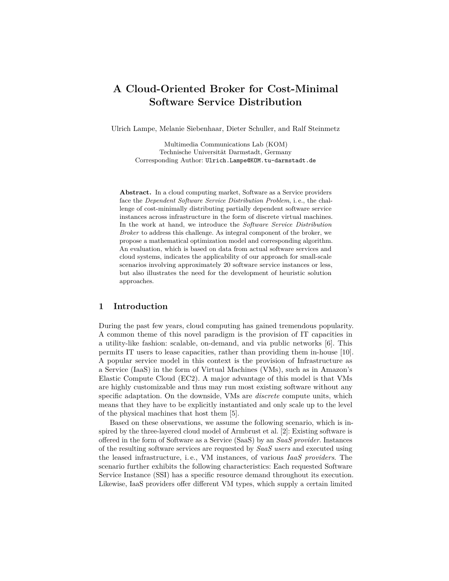# **A Cloud-Oriented Broker for Cost-Minimal Software Service Distribution**

Ulrich Lampe, Melanie Siebenhaar, Dieter Schuller, and Ralf Steinmetz

Multimedia Communications Lab (KOM) Technische Universität Darmstadt, Germany Corresponding Author: Ulrich.Lampe@KOM.tu-darmstadt.de

**Abstract.** In a cloud computing market, Software as a Service providers face the *Dependent Software Service Distribution Problem*, i. e., the challenge of cost-minimally distributing partially dependent software service instances across infrastructure in the form of discrete virtual machines. In the work at hand, we introduce the *Software Service Distribution Broker* to address this challenge. As integral component of the broker, we propose a mathematical optimization model and corresponding algorithm. An evaluation, which is based on data from actual software services and cloud systems, indicates the applicability of our approach for small-scale scenarios involving approximately 20 software service instances or less, but also illustrates the need for the development of heuristic solution approaches.

# **1 Introduction**

During the past few years, cloud computing has gained tremendous popularity. A common theme of this novel paradigm is the provision of IT capacities in a utility-like fashion: scalable, on-demand, and via public networks [6]. This permits IT users to lease capacities, rather than providing them in-house [10]. A popular service model in this context is the provision of Infrastructure as a Service (IaaS) in the form of Virtual Machines (VMs), such as in Amazon's Elastic Compute Cloud (EC2). A major advantage of this model is that VMs are highly customizable and thus may run most existing software without any specific adaptation. On the downside, VMs are *discrete* compute units, which means that they have to be explicitly instantiated and only scale up to the level of the physical machines that host them [5].

Based on these observations, we assume the following scenario, which is inspired by the three-layered cloud model of Armbrust et al. [2]: Existing software is offered in the form of Software as a Service (SaaS) by an *SaaS provider*. Instances of the resulting software services are requested by *SaaS users* and executed using the leased infrastructure, i. e., VM instances, of various *IaaS providers*. The scenario further exhibits the following characteristics: Each requested Software Service Instance (SSI) has a specific resource demand throughout its execution. Likewise, IaaS providers offer different VM types, which supply a certain limited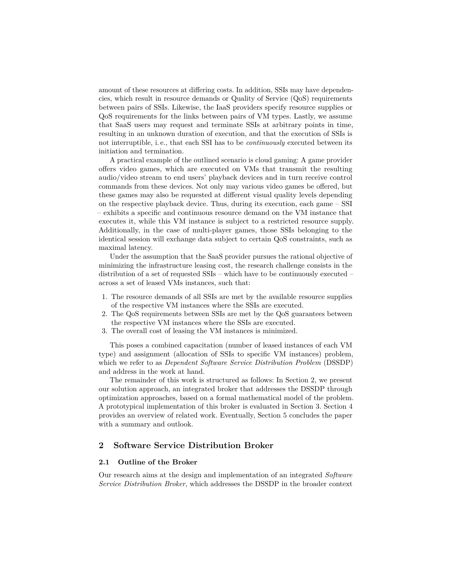amount of these resources at differing costs. In addition, SSIs may have dependencies, which result in resource demands or Quality of Service (QoS) requirements between pairs of SSIs. Likewise, the IaaS providers specify resource supplies or QoS requirements for the links between pairs of VM types. Lastly, we assume that SaaS users may request and terminate SSIs at arbitrary points in time, resulting in an unknown duration of execution, and that the execution of SSIs is not interruptible, i. e., that each SSI has to be *continuously* executed between its initiation and termination.

A practical example of the outlined scenario is cloud gaming: A game provider offers video games, which are executed on VMs that transmit the resulting audio/video stream to end users' playback devices and in turn receive control commands from these devices. Not only may various video games be offered, but these games may also be requested at different visual quality levels depending on the respective playback device. Thus, during its execution, each game – SSI – exhibits a specific and continuous resource demand on the VM instance that executes it, while this VM instance is subject to a restricted resource supply. Additionally, in the case of multi-player games, those SSIs belonging to the identical session will exchange data subject to certain QoS constraints, such as maximal latency.

Under the assumption that the SaaS provider pursues the rational objective of minimizing the infrastructure leasing cost, the research challenge consists in the distribution of a set of requested SSIs – which have to be continuously executed – across a set of leased VMs instances, such that:

- 1. The resource demands of all SSIs are met by the available resource supplies of the respective VM instances where the SSIs are executed.
- 2. The QoS requirements between SSIs are met by the QoS guarantees between the respective VM instances where the SSIs are executed.
- 3. The overall cost of leasing the VM instances is minimized.

This poses a combined capacitation (number of leased instances of each VM type) and assignment (allocation of SSIs to specific VM instances) problem, which we refer to as *Dependent Software Service Distribution Problem* (DSSDP) and address in the work at hand.

The remainder of this work is structured as follows: In Section 2, we present our solution approach, an integrated broker that addresses the DSSDP through optimization approaches, based on a formal mathematical model of the problem. A prototypical implementation of this broker is evaluated in Section 3. Section 4 provides an overview of related work. Eventually, Section 5 concludes the paper with a summary and outlook.

# **2 Software Service Distribution Broker**

### **2.1 Outline of the Broker**

Our research aims at the design and implementation of an integrated *Software Service Distribution Broker*, which addresses the DSSDP in the broader context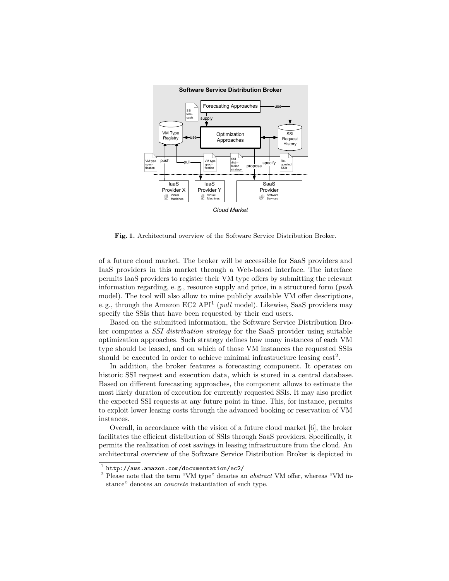

**Fig. 1.** Architectural overview of the Software Service Distribution Broker.

of a future cloud market. The broker will be accessible for SaaS providers and IaaS providers in this market through a Web-based interface. The interface permits IaaS providers to register their VM type offers by submitting the relevant information regarding, e. g., resource supply and price, in a structured form (*push* model). The tool will also allow to mine publicly available VM offer descriptions, e.g., through the Amazon EC2 API<sup>1</sup> (*pull* model). Likewise, SaaS providers may specify the SSIs that have been requested by their end users.

Based on the submitted information, the Software Service Distribution Broker computes a *SSI distribution strategy* for the SaaS provider using suitable optimization approaches. Such strategy defines how many instances of each VM type should be leased, and on which of those VM instances the requested SSIs should be executed in order to achieve minimal infrastructure leasing  $cost^2$ .

In addition, the broker features a forecasting component. It operates on historic SSI request and execution data, which is stored in a central database. Based on different forecasting approaches, the component allows to estimate the most likely duration of execution for currently requested SSIs. It may also predict the expected SSI requests at any future point in time. This, for instance, permits to exploit lower leasing costs through the advanced booking or reservation of VM instances.

Overall, in accordance with the vision of a future cloud market [6], the broker facilitates the efficient distribution of SSIs through SaaS providers. Specifically, it permits the realization of cost savings in leasing infrastructure from the cloud. An architectural overview of the Software Service Distribution Broker is depicted in

<sup>1</sup> http://aws.amazon.com/documentation/ec2/

<sup>2</sup> Please note that the term "VM type" denotes an *abstract* VM offer, whereas "VM instance" denotes an *concrete* instantiation of such type.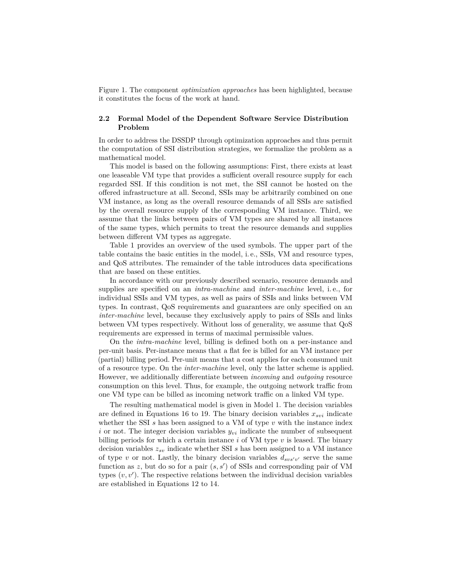Figure 1. The component *optimization approaches* has been highlighted, because it constitutes the focus of the work at hand.

## **2.2 Formal Model of the Dependent Software Service Distribution Problem**

In order to address the DSSDP through optimization approaches and thus permit the computation of SSI distribution strategies, we formalize the problem as a mathematical model.

This model is based on the following assumptions: First, there exists at least one leaseable VM type that provides a sufficient overall resource supply for each regarded SSI. If this condition is not met, the SSI cannot be hosted on the offered infrastructure at all. Second, SSIs may be arbitrarily combined on one VM instance, as long as the overall resource demands of all SSIs are satisfied by the overall resource supply of the corresponding VM instance. Third, we assume that the links between pairs of VM types are shared by all instances of the same types, which permits to treat the resource demands and supplies between different VM types as aggregate.

Table 1 provides an overview of the used symbols. The upper part of the table contains the basic entities in the model, i. e., SSIs, VM and resource types, and QoS attributes. The remainder of the table introduces data specifications that are based on these entities.

In accordance with our previously described scenario, resource demands and supplies are specified on an *intra-machine* and *inter-machine* level, i. e., for individual SSIs and VM types, as well as pairs of SSIs and links between VM types. In contrast, QoS requirements and guarantees are only specified on an *inter-machine* level, because they exclusively apply to pairs of SSIs and links between VM types respectively. Without loss of generality, we assume that QoS requirements are expressed in terms of maximal permissible values.

On the *intra-machine* level, billing is defined both on a per-instance and per-unit basis. Per-instance means that a flat fee is billed for an VM instance per (partial) billing period. Per-unit means that a cost applies for each consumed unit of a resource type. On the *inter-machine* level, only the latter scheme is applied. However, we additionally differentiate between *incoming* and *outgoing* resource consumption on this level. Thus, for example, the outgoing network traffic from one VM type can be billed as incoming network traffic on a linked VM type.

The resulting mathematical model is given in Model 1. The decision variables are defined in Equations 16 to 19. The binary decision variables  $x_{svi}$  indicate whether the SSI *s* has been assigned to a VM of type *v* with the instance index *i* or not. The integer decision variables *yvi* indicate the number of subsequent billing periods for which a certain instance *i* of VM type *v* is leased. The binary decision variables *zsv* indicate whether SSI *s* has been assigned to a VM instance of type *v* or not. Lastly, the binary decision variables  $d_{svs'v'}$  serve the same function as  $z$ , but do so for a pair  $(s, s')$  of SSIs and corresponding pair of VM types  $(v, v')$ . The respective relations between the individual decision variables are established in Equations 12 to 14.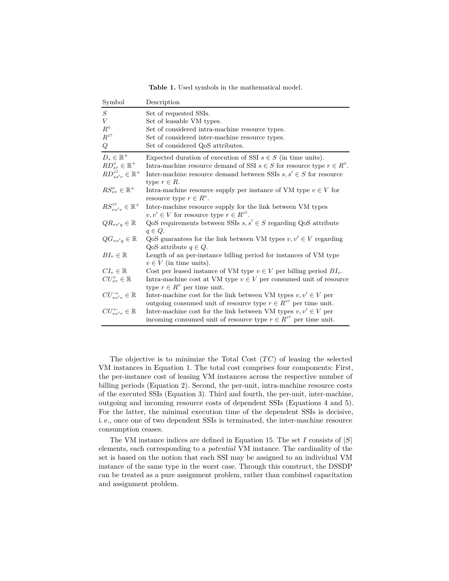**Table 1.** Used symbols in the mathematical model.

| Symbol                                          | Description                                                                                                                                   |
|-------------------------------------------------|-----------------------------------------------------------------------------------------------------------------------------------------------|
| S                                               | Set of requested SSIs.                                                                                                                        |
| V                                               | Set of leasable VM types.                                                                                                                     |
| $R^\diamond$                                    | Set of considered intra-machine resource types.                                                                                               |
| $R^{\rightleftarrows}$                          | Set of considered inter-machine resource types.                                                                                               |
| Q                                               | Set of considered QoS attributes.                                                                                                             |
| $D_s \in \mathbb{R}^+$                          | Expected duration of execution of SSI $s \in S$ (in time units).                                                                              |
| $RD_{sr}^{\diamond} \in \mathbb{R}^+$           | Intra-machine resource demand of SSI $s \in S$ for resource type $r \in R^{\circ}$ .                                                          |
| $RD_{ss'r}^{\rightleftarrows} \in \mathbb{R}^+$ | Inter-machine resource demand between SSIs $s, s' \in S$ for resource<br>type $r \in R$ .                                                     |
| $RS_{vr}^{\diamond} \in \mathbb{R}^+$           | Intra-machine resource supply per instance of VM type $v \in V$ for<br>resource type $r \in R^{\circ}$ .                                      |
| $RS_{uv'r}^{\rightleftarrows} \in \mathbb{R}^+$ | Inter-machine resource supply for the link between VM types<br>$v, v' \in V$ for resource type $r \in R^{\n\mathbb{R}}$ .                     |
| $QR_{ss'q} \in \mathbb{R}$                      | QoS requirements between SSIs $s, s' \in S$ regarding QoS attribute<br>$q \in Q$ .                                                            |
| $QG_{vv'q} \in \mathbb{R}$                      | QoS guarantees for the link between VM types $v, v' \in V$ regarding<br>$QoS$ attribute $q \in Q$ .                                           |
| $BI_v \in \mathbb{R}$                           | Length of an per-instance billing period for instances of VM type<br>$v \in V$ (in time units).                                               |
| $CI_v \in \mathbb{R}$                           | Cost per leased instance of VM type $v \in V$ per billing period $BI_v$ .                                                                     |
| $CU_{vr}^{\diamond} \in \mathbb{R}$             | Intra-machine cost at VM type $v \in V$ per consumed unit of resource                                                                         |
|                                                 | type $r \in R^{\circ}$ per time unit.                                                                                                         |
| $CU_{uv'r}^{\rightarrow} \in \mathbb{R}$        | Inter-machine cost for the link between VM types $v, v' \in V$ per                                                                            |
|                                                 | outgoing consumed unit of resource type $r \in R^{\overrightarrow{r}}$ per time unit.                                                         |
| $CU_{uv'r}^{\leftarrow} \in \mathbb{R}$         | Inter-machine cost for the link between VM types $v, v' \in V$ per<br>incoming consumed unit of resource type $r \in R^{\neq}$ per time unit. |

The objective is to minimize the Total Cost (*T C*) of leasing the selected VM instances in Equation 1. The total cost comprises four components: First, the per-instance cost of leasing VM instances across the respective number of billing periods (Equation 2). Second, the per-unit, intra-machine resource costs of the executed SSIs (Equation 3). Third and fourth, the per-unit, inter-machine, outgoing and incoming resource costs of dependent SSIs (Equations 4 and 5). For the latter, the minimal execution time of the dependent SSIs is decisive, i. e., once one of two dependent SSIs is terminated, the inter-machine resource consumption ceases.

The VM instance indices are defined in Equation 15. The set *I* consists of |*S*| elements, each corresponding to a *potential* VM instance. The cardinality of the set is based on the notion that each SSI may be assigned to an individual VM instance of the same type in the worst case. Through this construct, the DSSDP can be treated as a pure assignment problem, rather than combined capacitation and assignment problem.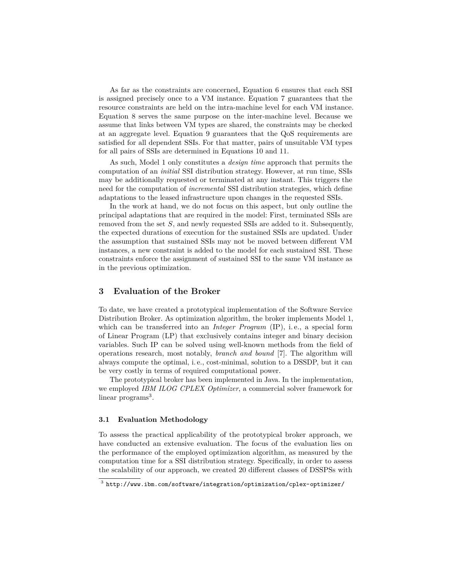As far as the constraints are concerned, Equation 6 ensures that each SSI is assigned precisely once to a VM instance. Equation 7 guarantees that the resource constraints are held on the intra-machine level for each VM instance. Equation 8 serves the same purpose on the inter-machine level. Because we assume that links between VM types are shared, the constraints may be checked at an aggregate level. Equation 9 guarantees that the QoS requirements are satisfied for all dependent SSIs. For that matter, pairs of unsuitable VM types for all pairs of SSIs are determined in Equations 10 and 11.

As such, Model 1 only constitutes a *design time* approach that permits the computation of an *initial* SSI distribution strategy. However, at run time, SSIs may be additionally requested or terminated at any instant. This triggers the need for the computation of *incremental* SSI distribution strategies, which define adaptations to the leased infrastructure upon changes in the requested SSIs.

In the work at hand, we do not focus on this aspect, but only outline the principal adaptations that are required in the model: First, terminated SSIs are removed from the set *S*, and newly requested SSIs are added to it. Subsequently, the expected durations of execution for the sustained SSIs are updated. Under the assumption that sustained SSIs may not be moved between different VM instances, a new constraint is added to the model for each sustained SSI. These constraints enforce the assignment of sustained SSI to the same VM instance as in the previous optimization.

## **3 Evaluation of the Broker**

To date, we have created a prototypical implementation of the Software Service Distribution Broker. As optimization algorithm, the broker implements Model 1, which can be transferred into an *Integer Program* (IP), i. e., a special form of Linear Program (LP) that exclusively contains integer and binary decision variables. Such IP can be solved using well-known methods from the field of operations research, most notably, *branch and bound* [7]. The algorithm will always compute the optimal, i. e., cost-minimal, solution to a DSSDP, but it can be very costly in terms of required computational power.

The prototypical broker has been implemented in Java. In the implementation, we employed *IBM ILOG CPLEX Optimizer*, a commercial solver framework for linear programs<sup>3</sup>.

#### **3.1 Evaluation Methodology**

To assess the practical applicability of the prototypical broker approach, we have conducted an extensive evaluation. The focus of the evaluation lies on the performance of the employed optimization algorithm, as measured by the computation time for a SSI distribution strategy. Specifically, in order to assess the scalability of our approach, we created 20 different classes of DSSPSs with

 $^3$  http://www.ibm.com/software/integration/optimization/cplex-optimizer/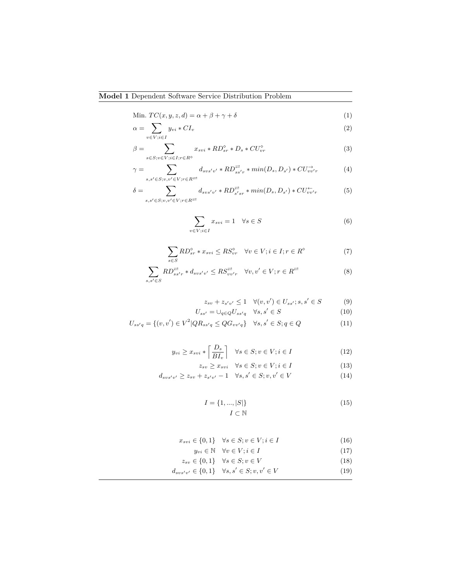Min. 
$$
TC(x, y, z, d) = \alpha + \beta + \gamma + \delta
$$
 (1)

$$
\alpha = \sum_{v \in V; i \in I} y_{vi} * CI_v \tag{2}
$$

$$
\beta = \sum_{s \in S; v \in V; i \in I; r \in R^{\diamond}} x_{svi} * RD_{sr}^{\diamond} * D_s * CU_{vr}^{\diamond}
$$
\n
$$
\tag{3}
$$

$$
\gamma = \sum_{s,s' \in S; v,v' \in V; r \in R^{\rightleftarrows}} d_{svs'v'} \cdot R D_{ss'r}^{\rightleftarrows} \cdot \min(D_s, D_{s'}) \cdot C U_{vv'r}^{\rightarrow} \tag{4}
$$

$$
\delta = \sum_{s,s' \in S; v,v' \in V; r \in R^{\rightrightarrows}} d_{svs'v'} * RD_{s'sr}^{\rightrightarrows} * min(D_s, D_{s'}) * CU_{vv'r}^{\leftarrow}
$$
 (5)

$$
\sum_{v \in V; i \in I} x_{svi} = 1 \quad \forall s \in S \tag{6}
$$

$$
\sum_{s \in S} RD_{sr}^{\circ} * x_{svi} \le RS_{vr}^{\circ} \quad \forall v \in V; i \in I; r \in R^{\circ}
$$
 (7)

$$
\sum_{s,s'\in S} RD^{\overrightarrow{t}}_{ss'r} * d_{svs'v'} \leq RS^{\overrightarrow{t}}_{vv'r} \quad \forall v, v' \in V; r \in R^{\overrightarrow{t}}
$$
 (8)

$$
z_{sv} + z_{s'v'} \le 1 \quad \forall (v, v') \in U_{ss'}; s, s' \in S \tag{9}
$$

$$
U_{ss'} = \bigcup_{q \in Q} U_{ss'q} \quad \forall s, s' \in S \tag{10}
$$

$$
U_{ss'q} = \{(v, v') \in V^2 | QR_{ss'q} \le Q G_{vv'q}\} \quad \forall s, s' \in S; q \in Q
$$
\n(11)

$$
y_{vi} \ge x_{svi} * \left\lceil \frac{D_s}{BI_v} \right\rceil \quad \forall s \in S; v \in V; i \in I
$$
\n
$$
(12)
$$

$$
z_{sv} \ge x_{svi} \quad \forall s \in S; v \in V; i \in I \tag{13}
$$

$$
d_{svs'v'} \ge z_{sv} + z_{s'v'} - 1 \quad \forall s, s' \in S; v, v' \in V
$$
\n(14)

$$
I = \{1, ..., |S|\}
$$
  

$$
I \subset \mathbb{N}
$$
 (15)

$$
x_{svi} \in \{0, 1\} \quad \forall s \in S; v \in V; i \in I \tag{16}
$$

$$
y_{vi} \in \mathbb{N} \quad \forall v \in V; i \in I
$$
\n
$$
\subset \{0, 1\} \quad \forall a \in S; a \in V
$$
\n
$$
(18)
$$

$$
z_{sv} \in \{0, 1\} \quad \forall s \in S; v \in V
$$
\n
$$
z_{sv} \in \{0, 1\} \quad \forall s, s' \in S; v, v' \in V
$$
\n
$$
(18)
$$
\n
$$
(19)
$$

$$
d_{svs'v'} \in \{0, 1\} \quad \forall s, s' \in S; v, v' \in V \tag{19}
$$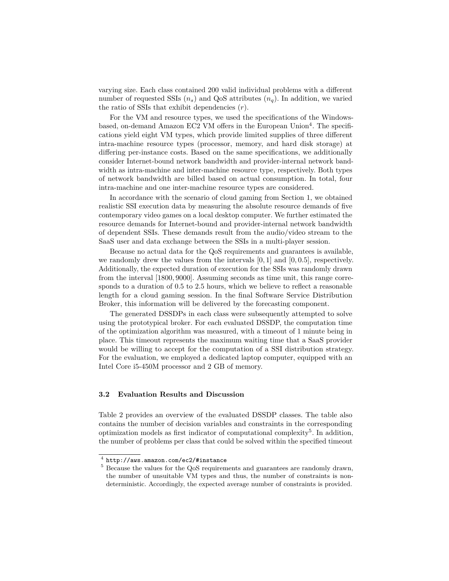varying size. Each class contained 200 valid individual problems with a different number of requested SSIs  $(n_s)$  and QoS attributes  $(n_a)$ . In addition, we varied the ratio of SSIs that exhibit dependencies (*r*).

For the VM and resource types, we used the specifications of the Windowsbased, on-demand Amazon EC2 VM offers in the European Union<sup>4</sup>. The specifications yield eight VM types, which provide limited supplies of three different intra-machine resource types (processor, memory, and hard disk storage) at differing per-instance costs. Based on the same specifications, we additionally consider Internet-bound network bandwidth and provider-internal network bandwidth as intra-machine and inter-machine resource type, respectively. Both types of network bandwidth are billed based on actual consumption. In total, four intra-machine and one inter-machine resource types are considered.

In accordance with the scenario of cloud gaming from Section 1, we obtained realistic SSI execution data by measuring the absolute resource demands of five contemporary video games on a local desktop computer. We further estimated the resource demands for Internet-bound and provider-internal network bandwidth of dependent SSIs. These demands result from the audio/video stream to the SaaS user and data exchange between the SSIs in a multi-player session.

Because no actual data for the QoS requirements and guarantees is available, we randomly drew the values from the intervals [0*,* 1] and [0*,* 0*.*5], respectively. Additionally, the expected duration of execution for the SSIs was randomly drawn from the interval [1800*,* 9000]. Assuming seconds as time unit, this range corresponds to a duration of 0.5 to 2.5 hours, which we believe to reflect a reasonable length for a cloud gaming session. In the final Software Service Distribution Broker, this information will be delivered by the forecasting component.

The generated DSSDPs in each class were subsequently attempted to solve using the prototypical broker. For each evaluated DSSDP, the computation time of the optimization algorithm was measured, with a timeout of 1 minute being in place. This timeout represents the maximum waiting time that a SaaS provider would be willing to accept for the computation of a SSI distribution strategy. For the evaluation, we employed a dedicated laptop computer, equipped with an Intel Core i5-450M processor and 2 GB of memory.

#### **3.2 Evaluation Results and Discussion**

Table 2 provides an overview of the evaluated DSSDP classes. The table also contains the number of decision variables and constraints in the corresponding optimization models as first indicator of computational complexity<sup>5</sup>. In addition, the number of problems per class that could be solved within the specified timeout

<sup>4</sup> http://aws.amazon.com/ec2/#instance

<sup>&</sup>lt;sup>5</sup> Because the values for the QoS requirements and guarantees are randomly drawn, the number of unsuitable VM types and thus, the number of constraints is nondeterministic. Accordingly, the expected average number of constraints is provided.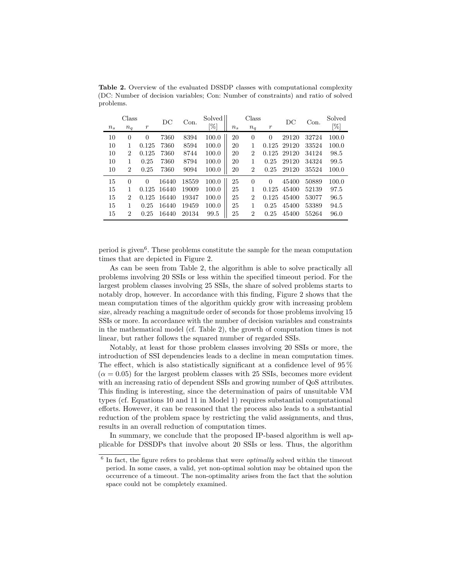| $n_{s}$ | Class<br>$n_q$ | $\boldsymbol{r}$ | $_{\rm DC}$ | Con.  | Solved<br>$\%$ | $n_{s}$ | Class<br>$n_q$ | $\boldsymbol{r}$ | DC    | Con.  | Solved<br>[%] |
|---------|----------------|------------------|-------------|-------|----------------|---------|----------------|------------------|-------|-------|---------------|
| 10      | $\overline{0}$ | $\Omega$         | 7360        | 8394  | 100.0          | 20      | $\Omega$       | $\Omega$         | 29120 | 32724 | 100.0         |
| 10      |                | 0.125            | 7360        | 8594  | 100.0          | 20      | 1              | 0.125            | 29120 | 33524 | 100.0         |
| 10      | $\overline{2}$ | 0.125            | 7360        | 8744  | 100.0          | 20      | $\overline{2}$ | 0.125            | 29120 | 34124 | 98.5          |
| 10      | 1              | 0.25             | 7360        | 8794  | 100.0          | 20      | 1              | 0.25             | 29120 | 34324 | 99.5          |
| 10      | $\overline{2}$ | 0.25             | 7360        | 9094  | 100.0          | 20      | $\overline{2}$ | 0.25             | 29120 | 35524 | 100.0         |
| 15      | $\overline{0}$ | $\Omega$         | 16440       | 18559 | 100.0          | 25      | $\Omega$       | $\Omega$         | 45400 | 50889 | 100.0         |
| 15      |                | 0.125            | 16440       | 19009 | 100.0          | 25      | 1              | 0.125            | 45400 | 52139 | 97.5          |
| 15      | 2              | 0.125            | 16440       | 19347 | 100.0          | 25      | $\overline{2}$ | 0.125            | 45400 | 53077 | 96.5          |
| 15      |                | 0.25             | 16440       | 19459 | 100.0          | 25      | 1              | 0.25             | 45400 | 53389 | 94.5          |
| 15      | 2              | 0.25             | 16440       | 20134 | 99.5           | 25      | $\overline{2}$ | 0.25             | 45400 | 55264 | 96.0          |

**Table 2.** Overview of the evaluated DSSDP classes with computational complexity (DC: Number of decision variables; Con: Number of constraints) and ratio of solved problems.

period is given<sup>6</sup>. These problems constitute the sample for the mean computation times that are depicted in Figure 2.

As can be seen from Table 2, the algorithm is able to solve practically all problems involving 20 SSIs or less within the specified timeout period. For the largest problem classes involving 25 SSIs, the share of solved problems starts to notably drop, however. In accordance with this finding, Figure 2 shows that the mean computation times of the algorithm quickly grow with increasing problem size, already reaching a magnitude order of seconds for those problems involving 15 SSIs or more. In accordance with the number of decision variables and constraints in the mathematical model (cf. Table 2), the growth of computation times is not linear, but rather follows the squared number of regarded SSIs.

Notably, at least for those problem classes involving 20 SSIs or more, the introduction of SSI dependencies leads to a decline in mean computation times. The effect, which is also statistically significant at a confidence level of 95 %  $(\alpha = 0.05)$  for the largest problem classes with 25 SSIs, becomes more evident with an increasing ratio of dependent SSIs and growing number of QoS attributes. This finding is interesting, since the determination of pairs of unsuitable VM types (cf. Equations 10 and 11 in Model 1) requires substantial computational efforts. However, it can be reasoned that the process also leads to a substantial reduction of the problem space by restricting the valid assignments, and thus, results in an overall reduction of computation times.

In summary, we conclude that the proposed IP-based algorithm is well applicable for DSSDPs that involve about 20 SSIs or less. Thus, the algorithm

<sup>&</sup>lt;sup>6</sup> In fact, the figure refers to problems that were *optimally* solved within the timeout period. In some cases, a valid, yet non-optimal solution may be obtained upon the occurrence of a timeout. The non-optimality arises from the fact that the solution space could not be completely examined.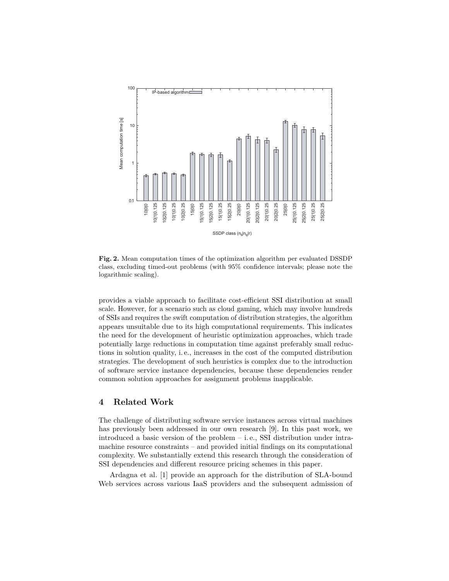

**Fig. 2.** Mean computation times of the optimization algorithm per evaluated DSSDP class, excluding timed-out problems (with 95% confidence intervals; please note the logarithmic scaling).

provides a viable approach to facilitate cost-efficient SSI distribution at small scale. However, for a scenario such as cloud gaming, which may involve hundreds of SSIs and requires the swift computation of distribution strategies, the algorithm appears unsuitable due to its high computational requirements. This indicates the need for the development of heuristic optimization approaches, which trade potentially large reductions in computation time against preferably small reductions in solution quality, i. e., increases in the cost of the computed distribution strategies. The development of such heuristics is complex due to the introduction of software service instance dependencies, because these dependencies render common solution approaches for assignment problems inapplicable.

## **4 Related Work**

The challenge of distributing software service instances across virtual machines has previously been addressed in our own research [9]. In this past work, we introduced a basic version of the problem – i. e., SSI distribution under intramachine resource constraints – and provided initial findings on its computational complexity. We substantially extend this research through the consideration of SSI dependencies and different resource pricing schemes in this paper.

Ardagna et al. [1] provide an approach for the distribution of SLA-bound Web services across various IaaS providers and the subsequent admission of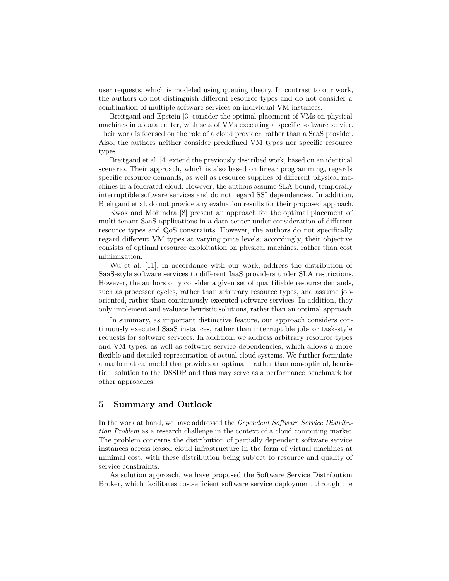user requests, which is modeled using queuing theory. In contrast to our work, the authors do not distinguish different resource types and do not consider a combination of multiple software services on individual VM instances.

Breitgand and Epstein [3] consider the optimal placement of VMs on physical machines in a data center, with sets of VMs executing a specific software service. Their work is focused on the role of a cloud provider, rather than a SaaS provider. Also, the authors neither consider predefined VM types nor specific resource types.

Breitgand et al. [4] extend the previously described work, based on an identical scenario. Their approach, which is also based on linear programming, regards specific resource demands, as well as resource supplies of different physical machines in a federated cloud. However, the authors assume SLA-bound, temporally interruptible software services and do not regard SSI dependencies. In addition, Breitgand et al. do not provide any evaluation results for their proposed approach.

Kwok and Mohindra [8] present an approach for the optimal placement of multi-tenant SaaS applications in a data center under consideration of different resource types and QoS constraints. However, the authors do not specifically regard different VM types at varying price levels; accordingly, their objective consists of optimal resource exploitation on physical machines, rather than cost minimization.

Wu et al. [11], in accordance with our work, address the distribution of SaaS-style software services to different IaaS providers under SLA restrictions. However, the authors only consider a given set of quantifiable resource demands, such as processor cycles, rather than arbitrary resource types, and assume joboriented, rather than continuously executed software services. In addition, they only implement and evaluate heuristic solutions, rather than an optimal approach.

In summary, as important distinctive feature, our approach considers continuously executed SaaS instances, rather than interruptible job- or task-style requests for software services. In addition, we address arbitrary resource types and VM types, as well as software service dependencies, which allows a more flexible and detailed representation of actual cloud systems. We further formulate a mathematical model that provides an optimal – rather than non-optimal, heuristic – solution to the DSSDP and thus may serve as a performance benchmark for other approaches.

## **5 Summary and Outlook**

In the work at hand, we have addressed the *Dependent Software Service Distribution Problem* as a research challenge in the context of a cloud computing market. The problem concerns the distribution of partially dependent software service instances across leased cloud infrastructure in the form of virtual machines at minimal cost, with these distribution being subject to resource and quality of service constraints.

As solution approach, we have proposed the Software Service Distribution Broker, which facilitates cost-efficient software service deployment through the